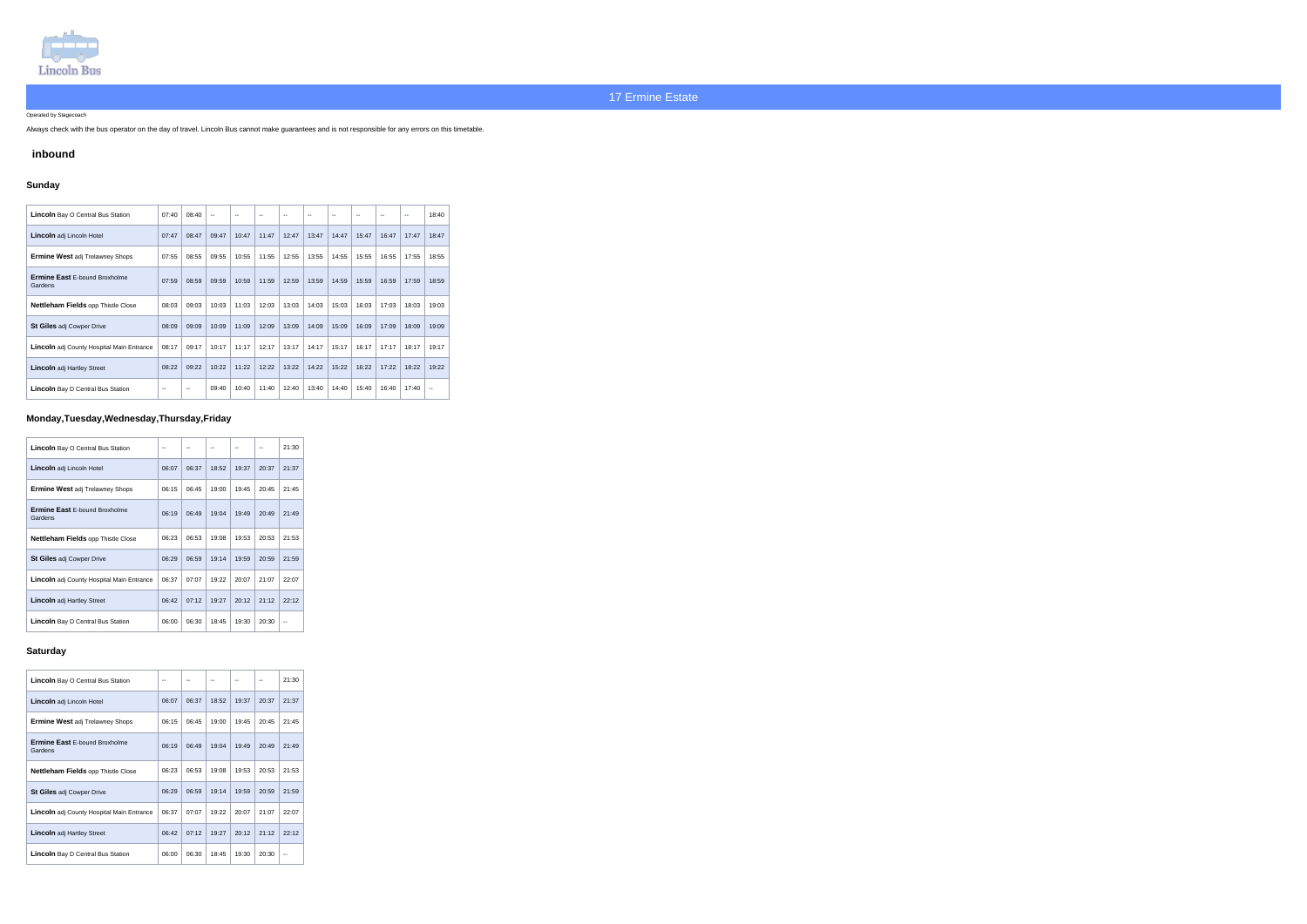

Operated by Stagecoach

Always check with the bus operator on the day of travel. Lincoln Bus cannot make guarantees and is not responsible for any errors on this timetable.

## **inbound**

## **Sunday**

| <b>Lincoln</b> Bay O Central Bus Station         | 07:40 | 08:40 | $\overline{\phantom{a}}$ |       | $\sim$ | $\sim$ | $\overline{a}$ | $-$   | $\sim$ | $\sim$ | $\overline{\phantom{a}}$ | 18:40                    |
|--------------------------------------------------|-------|-------|--------------------------|-------|--------|--------|----------------|-------|--------|--------|--------------------------|--------------------------|
| <b>Lincoln</b> adj Lincoln Hotel                 | 07:47 | 08:47 | 09:47                    | 10:47 | 11:47  | 12:47  | 13:47          | 14:47 | 15:47  | 16:47  | 17:47                    | 18:47                    |
| <b>Ermine West adj Trelawney Shops</b>           | 07:55 | 08:55 | 09:55                    | 10:55 | 11:55  | 12:55  | 13:55          | 14:55 | 15:55  | 16:55  | 17:55                    | 18:55                    |
| <b>Ermine East E-bound Broxholme</b><br>Gardens  | 07:59 | 08:59 | 09:59                    | 10:59 | 11:59  | 12:59  | 13:59          | 14:59 | 15:59  | 16:59  | 17:59                    | 18:59                    |
| Nettleham Fields opp Thistle Close               | 08:03 | 09:03 | 10:03                    | 11:03 | 12:03  | 13:03  | 14:03          | 15:03 | 16:03  | 17:03  | 18:03                    | 19:03                    |
| <b>St Giles adj Cowper Drive</b>                 | 08:09 | 09:09 | 10:09                    | 11:09 | 12:09  | 13:09  | 14:09          | 15:09 | 16:09  | 17:09  | 18:09                    | 19:09                    |
| <b>Lincoln</b> adj County Hospital Main Entrance | 08:17 | 09:17 | 10:17                    | 11:17 | 12:17  | 13:17  | 14:17          | 15:17 | 16:17  | 17:17  | 18:17                    | 19:17                    |
| <b>Lincoln</b> adj Hartley Street                | 08:22 | 09:22 | 10:22                    | 11:22 | 12:22  | 13:22  | 14:22          | 15:22 | 16:22  | 17:22  | 18:22                    | 19:22                    |
| <b>Lincoln</b> Bay D Central Bus Station         | --    | $-$   | 09:40                    | 10:40 | 11:40  | 12:40  | 13:40          | 14:40 | 15:40  | 16:40  | 17:40                    | $\overline{\phantom{a}}$ |

# **Monday,Tuesday,Wednesday,Thursday,Friday**

| <b>Lincoln</b> Bay O Central Bus Station         |       |       |       |       |       | 21:30 |
|--------------------------------------------------|-------|-------|-------|-------|-------|-------|
| Lincoln adj Lincoln Hotel                        | 06:07 | 06:37 | 18:52 | 19:37 | 20:37 | 21:37 |
| <b>Ermine West adj Trelawney Shops</b>           | 06:15 | 06:45 | 19:00 | 19:45 | 20:45 | 21:45 |
| <b>Ermine East E-bound Broxholme</b><br>Gardens  | 06:19 | 06:49 | 19:04 | 19:49 | 20:49 | 21:49 |
| <b>Nettleham Fields opp Thistle Close</b>        | 06:23 | 06:53 | 19:08 | 19:53 | 20:53 | 21:53 |
| <b>St Giles adj Cowper Drive</b>                 | 06:29 | 06:59 | 19:14 | 19:59 | 20:59 | 21:59 |
| <b>Lincoln</b> adj County Hospital Main Entrance | 06:37 | 07:07 | 19:22 | 20:07 | 21:07 | 22:07 |
| <b>Lincoln</b> adj Hartley Street                | 06:42 | 07:12 | 19:27 | 20:12 | 21:12 | 22:12 |
| <b>Lincoln</b> Bay D Central Bus Station         | 06:00 | 06:30 | 18:45 | 19:30 | 20:30 |       |

#### **Saturday**

| <b>Lincoln</b> Bay O Central Bus Station         | --    |       |       |       |       | 21:30 |
|--------------------------------------------------|-------|-------|-------|-------|-------|-------|
| <b>Lincoln</b> adj Lincoln Hotel                 | 06:07 | 06:37 | 18:52 | 19:37 | 20:37 | 21:37 |
| <b>Ermine West adj Trelawney Shops</b>           | 06:15 | 06:45 | 19:00 | 19:45 | 20:45 | 21:45 |
| <b>Ermine East E-bound Broxholme</b><br>Gardens  | 06:19 | 06:49 | 19:04 | 19:49 | 20:49 | 21:49 |
| <b>Nettleham Fields opp Thistle Close</b>        | 06:23 | 06:53 | 19:08 | 19:53 | 20:53 | 21:53 |
| <b>St Giles adj Cowper Drive</b>                 | 06:29 | 06:59 | 19:14 | 19:59 | 20:59 | 21:59 |
| <b>Lincoln</b> adj County Hospital Main Entrance | 06:37 | 07:07 | 19:22 | 20:07 | 21:07 | 22:07 |
| <b>Lincoln</b> adj Hartley Street                | 06:42 | 07:12 | 19:27 | 20:12 | 21:12 | 22:12 |
| <b>Lincoln</b> Bay D Central Bus Station         | 06:00 | 06:30 | 18:45 | 19:30 | 20:30 |       |